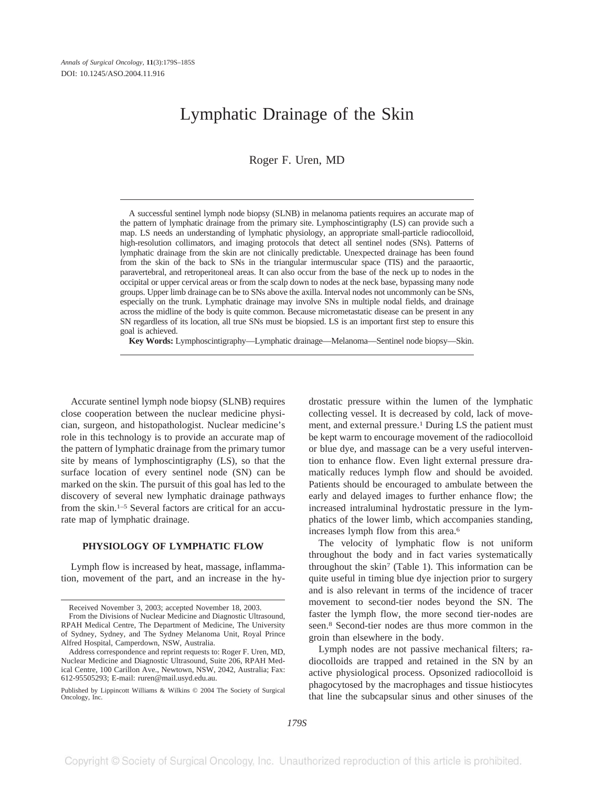# Lymphatic Drainage of the Skin

Roger F. Uren, MD

A successful sentinel lymph node biopsy (SLNB) in melanoma patients requires an accurate map of the pattern of lymphatic drainage from the primary site. Lymphoscintigraphy (LS) can provide such a map. LS needs an understanding of lymphatic physiology, an appropriate small-particle radiocolloid, high-resolution collimators, and imaging protocols that detect all sentinel nodes (SNs). Patterns of lymphatic drainage from the skin are not clinically predictable. Unexpected drainage has been found from the skin of the back to SNs in the triangular intermuscular space (TIS) and the paraaortic, paravertebral, and retroperitoneal areas. It can also occur from the base of the neck up to nodes in the occipital or upper cervical areas or from the scalp down to nodes at the neck base, bypassing many node groups. Upper limb drainage can be to SNs above the axilla. Interval nodes not uncommonly can be SNs, especially on the trunk. Lymphatic drainage may involve SNs in multiple nodal fields, and drainage across the midline of the body is quite common. Because micrometastatic disease can be present in any SN regardless of its location, all true SNs must be biopsied. LS is an important first step to ensure this goal is achieved.

**Key Words:** Lymphoscintigraphy—Lymphatic drainage—Melanoma—Sentinel node biopsy—Skin.

Accurate sentinel lymph node biopsy (SLNB) requires close cooperation between the nuclear medicine physician, surgeon, and histopathologist. Nuclear medicine's role in this technology is to provide an accurate map of the pattern of lymphatic drainage from the primary tumor site by means of lymphoscintigraphy (LS), so that the surface location of every sentinel node (SN) can be marked on the skin. The pursuit of this goal has led to the discovery of several new lymphatic drainage pathways from the skin.1–5 Several factors are critical for an accurate map of lymphatic drainage.

#### **PHYSIOLOGY OF LYMPHATIC FLOW**

Lymph flow is increased by heat, massage, inflammation, movement of the part, and an increase in the hy-

drostatic pressure within the lumen of the lymphatic collecting vessel. It is decreased by cold, lack of movement, and external pressure.<sup>1</sup> During LS the patient must be kept warm to encourage movement of the radiocolloid or blue dye, and massage can be a very useful intervention to enhance flow. Even light external pressure dramatically reduces lymph flow and should be avoided. Patients should be encouraged to ambulate between the early and delayed images to further enhance flow; the increased intraluminal hydrostatic pressure in the lymphatics of the lower limb, which accompanies standing, increases lymph flow from this area.6

The velocity of lymphatic flow is not uniform throughout the body and in fact varies systematically throughout the skin7 (Table 1). This information can be quite useful in timing blue dye injection prior to surgery and is also relevant in terms of the incidence of tracer movement to second-tier nodes beyond the SN. The faster the lymph flow, the more second tier-nodes are seen.8 Second-tier nodes are thus more common in the groin than elsewhere in the body.

Lymph nodes are not passive mechanical filters; radiocolloids are trapped and retained in the SN by an active physiological process. Opsonized radiocolloid is phagocytosed by the macrophages and tissue histiocytes that line the subcapsular sinus and other sinuses of the

Received November 3, 2003; accepted November 18, 2003.

From the Divisions of Nuclear Medicine and Diagnostic Ultrasound, RPAH Medical Centre, The Department of Medicine, The University of Sydney, Sydney, and The Sydney Melanoma Unit, Royal Prince Alfred Hospital, Camperdown, NSW, Australia.

Address correspondence and reprint requests to: Roger F. Uren, MD, Nuclear Medicine and Diagnostic Ultrasound, Suite 206, RPAH Medical Centre, 100 Carillon Ave., Newtown, NSW, 2042, Australia; Fax: 612-95505293; E-mail: ruren@mail.usyd.edu.au.

Published by Lippincott Williams & Wilkins © 2004 The Society of Surgical Oncology, Inc.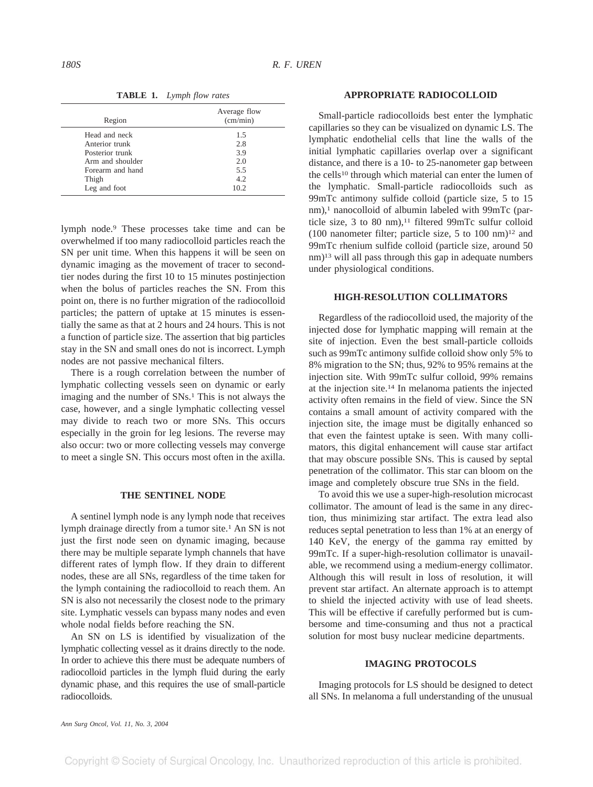**TABLE 1.** *Lymph flow rates*

| Region           | Average flow<br>$\text{(cm/min)}$ |
|------------------|-----------------------------------|
| Head and neck    | 1.5                               |
| Anterior trunk   | 2.8                               |
| Posterior trunk  | 3.9                               |
| Arm and shoulder | 2.0                               |
| Forearm and hand | 5.5                               |
| Thigh            | 4.2                               |
| Leg and foot     | 10.2                              |

lymph node.9 These processes take time and can be overwhelmed if too many radiocolloid particles reach the SN per unit time. When this happens it will be seen on dynamic imaging as the movement of tracer to secondtier nodes during the first 10 to 15 minutes postinjection when the bolus of particles reaches the SN. From this point on, there is no further migration of the radiocolloid particles; the pattern of uptake at 15 minutes is essentially the same as that at 2 hours and 24 hours. This is not a function of particle size. The assertion that big particles stay in the SN and small ones do not is incorrect. Lymph nodes are not passive mechanical filters.

There is a rough correlation between the number of lymphatic collecting vessels seen on dynamic or early imaging and the number of SNs.<sup>1</sup> This is not always the case, however, and a single lymphatic collecting vessel may divide to reach two or more SNs. This occurs especially in the groin for leg lesions. The reverse may also occur: two or more collecting vessels may converge to meet a single SN. This occurs most often in the axilla.

#### **THE SENTINEL NODE**

A sentinel lymph node is any lymph node that receives lymph drainage directly from a tumor site.1 An SN is not just the first node seen on dynamic imaging, because there may be multiple separate lymph channels that have different rates of lymph flow. If they drain to different nodes, these are all SNs, regardless of the time taken for the lymph containing the radiocolloid to reach them. An SN is also not necessarily the closest node to the primary site. Lymphatic vessels can bypass many nodes and even whole nodal fields before reaching the SN.

An SN on LS is identified by visualization of the lymphatic collecting vessel as it drains directly to the node. In order to achieve this there must be adequate numbers of radiocolloid particles in the lymph fluid during the early dynamic phase, and this requires the use of small-particle radiocolloids.

## **APPROPRIATE RADIOCOLLOID**

Small-particle radiocolloids best enter the lymphatic capillaries so they can be visualized on dynamic LS. The lymphatic endothelial cells that line the walls of the initial lymphatic capillaries overlap over a significant distance, and there is a 10- to 25-nanometer gap between the cells10 through which material can enter the lumen of the lymphatic. Small-particle radiocolloids such as 99mTc antimony sulfide colloid (particle size, 5 to 15 nm),<sup>1</sup> nanocolloid of albumin labeled with 99mTc (particle size,  $3 \text{ to } 80 \text{ nm}$ , <sup>11</sup> filtered 99mTc sulfur colloid (100 nanometer filter; particle size, 5 to 100 nm)<sup>12</sup> and 99mTc rhenium sulfide colloid (particle size, around 50 nm)<sup>13</sup> will all pass through this gap in adequate numbers under physiological conditions.

## **HIGH-RESOLUTION COLLIMATORS**

Regardless of the radiocolloid used, the majority of the injected dose for lymphatic mapping will remain at the site of injection. Even the best small-particle colloids such as 99mTc antimony sulfide colloid show only 5% to 8% migration to the SN; thus, 92% to 95% remains at the injection site. With 99mTc sulfur colloid, 99% remains at the injection site.14 In melanoma patients the injected activity often remains in the field of view. Since the SN contains a small amount of activity compared with the injection site, the image must be digitally enhanced so that even the faintest uptake is seen. With many collimators, this digital enhancement will cause star artifact that may obscure possible SNs. This is caused by septal penetration of the collimator. This star can bloom on the image and completely obscure true SNs in the field.

To avoid this we use a super-high-resolution microcast collimator. The amount of lead is the same in any direction, thus minimizing star artifact. The extra lead also reduces septal penetration to less than 1% at an energy of 140 KeV, the energy of the gamma ray emitted by 99mTc. If a super-high-resolution collimator is unavailable, we recommend using a medium-energy collimator. Although this will result in loss of resolution, it will prevent star artifact. An alternate approach is to attempt to shield the injected activity with use of lead sheets. This will be effective if carefully performed but is cumbersome and time-consuming and thus not a practical solution for most busy nuclear medicine departments.

#### **IMAGING PROTOCOLS**

Imaging protocols for LS should be designed to detect all SNs. In melanoma a full understanding of the unusual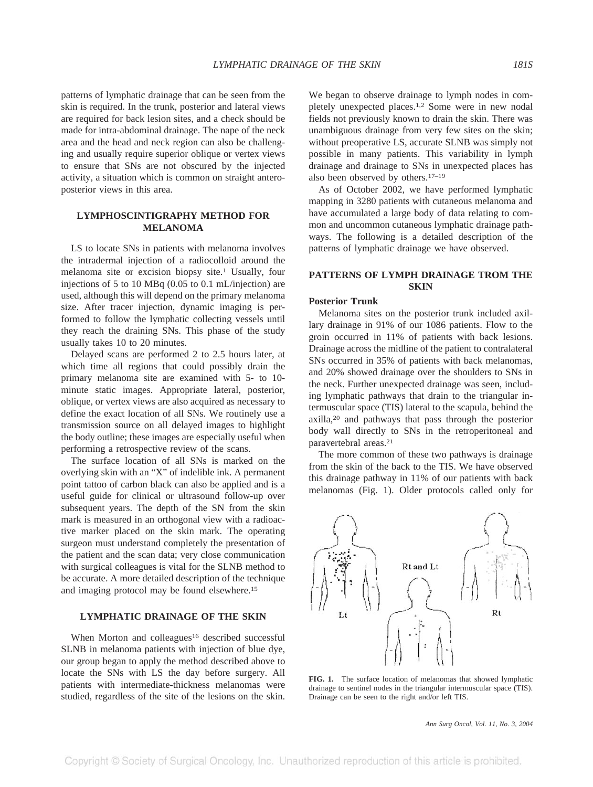patterns of lymphatic drainage that can be seen from the skin is required. In the trunk, posterior and lateral views are required for back lesion sites, and a check should be made for intra-abdominal drainage. The nape of the neck area and the head and neck region can also be challenging and usually require superior oblique or vertex views to ensure that SNs are not obscured by the injected activity, a situation which is common on straight anteroposterior views in this area.

# **LYMPHOSCINTIGRAPHY METHOD FOR MELANOMA**

LS to locate SNs in patients with melanoma involves the intradermal injection of a radiocolloid around the melanoma site or excision biopsy site.1 Usually, four injections of 5 to 10 MBq (0.05 to 0.1 mL/injection) are used, although this will depend on the primary melanoma size. After tracer injection, dynamic imaging is performed to follow the lymphatic collecting vessels until they reach the draining SNs. This phase of the study usually takes 10 to 20 minutes.

Delayed scans are performed 2 to 2.5 hours later, at which time all regions that could possibly drain the primary melanoma site are examined with 5- to 10 minute static images. Appropriate lateral, posterior, oblique, or vertex views are also acquired as necessary to define the exact location of all SNs. We routinely use a transmission source on all delayed images to highlight the body outline; these images are especially useful when performing a retrospective review of the scans.

The surface location of all SNs is marked on the overlying skin with an "X" of indelible ink. A permanent point tattoo of carbon black can also be applied and is a useful guide for clinical or ultrasound follow-up over subsequent years. The depth of the SN from the skin mark is measured in an orthogonal view with a radioactive marker placed on the skin mark. The operating surgeon must understand completely the presentation of the patient and the scan data; very close communication with surgical colleagues is vital for the SLNB method to be accurate. A more detailed description of the technique and imaging protocol may be found elsewhere.15

# **LYMPHATIC DRAINAGE OF THE SKIN**

When Morton and colleagues<sup>16</sup> described successful SLNB in melanoma patients with injection of blue dye, our group began to apply the method described above to locate the SNs with LS the day before surgery. All patients with intermediate-thickness melanomas were studied, regardless of the site of the lesions on the skin.

We began to observe drainage to lymph nodes in completely unexpected places.1,2 Some were in new nodal fields not previously known to drain the skin. There was unambiguous drainage from very few sites on the skin; without preoperative LS, accurate SLNB was simply not possible in many patients. This variability in lymph drainage and drainage to SNs in unexpected places has also been observed by others.17–19

As of October 2002, we have performed lymphatic mapping in 3280 patients with cutaneous melanoma and have accumulated a large body of data relating to common and uncommon cutaneous lymphatic drainage pathways. The following is a detailed description of the patterns of lymphatic drainage we have observed.

# **PATTERNS OF LYMPH DRAINAGE TROM THE SKIN**

#### **Posterior Trunk**

Melanoma sites on the posterior trunk included axillary drainage in 91% of our 1086 patients. Flow to the groin occurred in 11% of patients with back lesions. Drainage across the midline of the patient to contralateral SNs occurred in 35% of patients with back melanomas, and 20% showed drainage over the shoulders to SNs in the neck. Further unexpected drainage was seen, including lymphatic pathways that drain to the triangular intermuscular space (TIS) lateral to the scapula, behind the axilla,20 and pathways that pass through the posterior body wall directly to SNs in the retroperitoneal and paravertebral areas.21

The more common of these two pathways is drainage from the skin of the back to the TIS. We have observed this drainage pathway in 11% of our patients with back melanomas (Fig. 1). Older protocols called only for



**FIG. 1.** The surface location of melanomas that showed lymphatic drainage to sentinel nodes in the triangular intermuscular space (TIS). Drainage can be seen to the right and/or left TIS.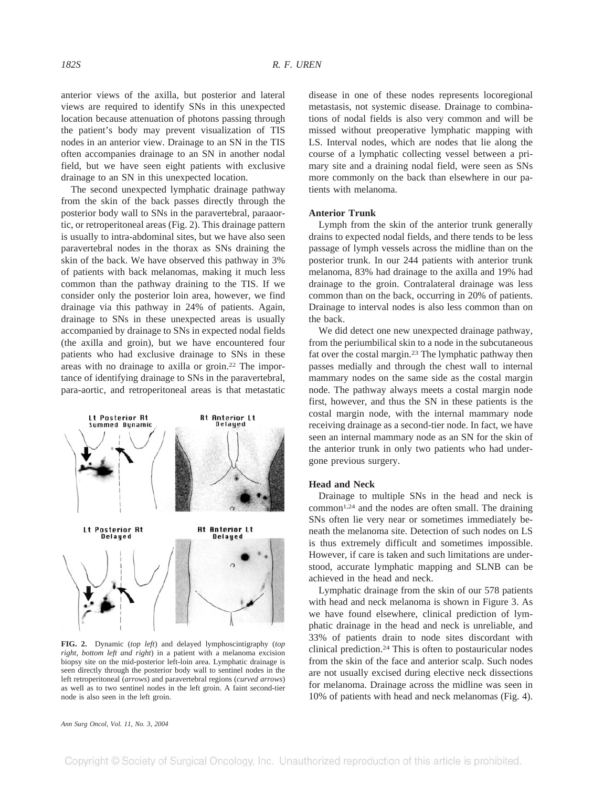anterior views of the axilla, but posterior and lateral views are required to identify SNs in this unexpected location because attenuation of photons passing through the patient's body may prevent visualization of TIS nodes in an anterior view. Drainage to an SN in the TIS often accompanies drainage to an SN in another nodal field, but we have seen eight patients with exclusive drainage to an SN in this unexpected location.

The second unexpected lymphatic drainage pathway from the skin of the back passes directly through the posterior body wall to SNs in the paravertebral, paraaortic, or retroperitoneal areas (Fig. 2). This drainage pattern is usually to intra-abdominal sites, but we have also seen paravertebral nodes in the thorax as SNs draining the skin of the back. We have observed this pathway in 3% of patients with back melanomas, making it much less common than the pathway draining to the TIS. If we consider only the posterior loin area, however, we find drainage via this pathway in 24% of patients. Again, drainage to SNs in these unexpected areas is usually accompanied by drainage to SNs in expected nodal fields (the axilla and groin), but we have encountered four patients who had exclusive drainage to SNs in these areas with no drainage to axilla or groin.22 The importance of identifying drainage to SNs in the paravertebral, para-aortic, and retroperitoneal areas is that metastatic



**FIG. 2.** Dynamic (*top left*) and delayed lymphoscintigraphy (*top right, bottom left and right*) in a patient with a melanoma excision biopsy site on the mid-posterior left-loin area. Lymphatic drainage is seen directly through the posterior body wall to sentinel nodes in the left retroperitoneal (*arrows*) and paravertebral regions (*curved arrows*) as well as to two sentinel nodes in the left groin. A faint second-tier node is also seen in the left groin.

disease in one of these nodes represents locoregional metastasis, not systemic disease. Drainage to combinations of nodal fields is also very common and will be missed without preoperative lymphatic mapping with LS. Interval nodes, which are nodes that lie along the course of a lymphatic collecting vessel between a primary site and a draining nodal field, were seen as SNs more commonly on the back than elsewhere in our patients with melanoma.

## **Anterior Trunk**

Lymph from the skin of the anterior trunk generally drains to expected nodal fields, and there tends to be less passage of lymph vessels across the midline than on the posterior trunk. In our 244 patients with anterior trunk melanoma, 83% had drainage to the axilla and 19% had drainage to the groin. Contralateral drainage was less common than on the back, occurring in 20% of patients. Drainage to interval nodes is also less common than on the back.

We did detect one new unexpected drainage pathway, from the periumbilical skin to a node in the subcutaneous fat over the costal margin.23 The lymphatic pathway then passes medially and through the chest wall to internal mammary nodes on the same side as the costal margin node. The pathway always meets a costal margin node first, however, and thus the SN in these patients is the costal margin node, with the internal mammary node receiving drainage as a second-tier node. In fact, we have seen an internal mammary node as an SN for the skin of the anterior trunk in only two patients who had undergone previous surgery.

#### **Head and Neck**

Drainage to multiple SNs in the head and neck is common1,24 and the nodes are often small. The draining SNs often lie very near or sometimes immediately beneath the melanoma site. Detection of such nodes on LS is thus extremely difficult and sometimes impossible. However, if care is taken and such limitations are understood, accurate lymphatic mapping and SLNB can be achieved in the head and neck.

Lymphatic drainage from the skin of our 578 patients with head and neck melanoma is shown in Figure 3. As we have found elsewhere, clinical prediction of lymphatic drainage in the head and neck is unreliable, and 33% of patients drain to node sites discordant with clinical prediction.24 This is often to postauricular nodes from the skin of the face and anterior scalp. Such nodes are not usually excised during elective neck dissections for melanoma. Drainage across the midline was seen in 10% of patients with head and neck melanomas (Fig. 4).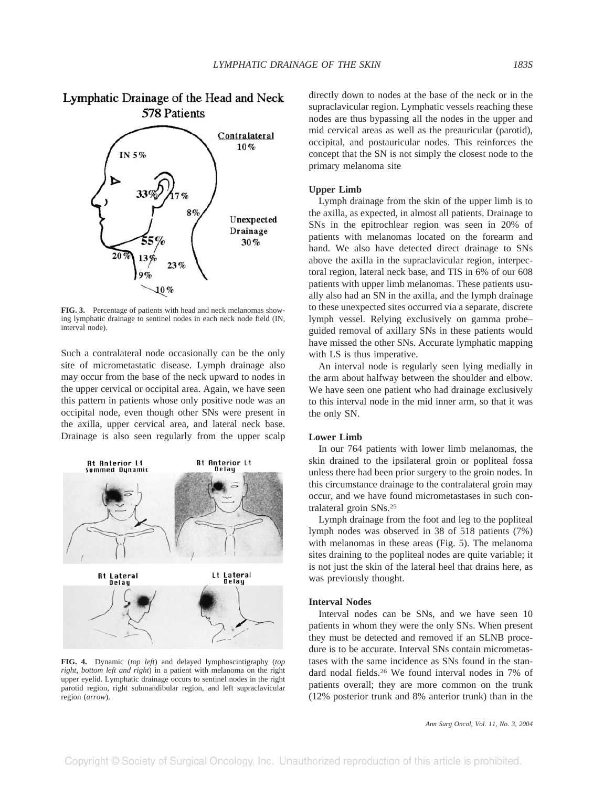# Lymphatic Drainage of the Head and Neck **578 Patients**



**FIG. 3.** Percentage of patients with head and neck melanomas showing lymphatic drainage to sentinel nodes in each neck node field (IN, interval node).

Such a contralateral node occasionally can be the only site of micrometastatic disease. Lymph drainage also may occur from the base of the neck upward to nodes in the upper cervical or occipital area. Again, we have seen this pattern in patients whose only positive node was an occipital node, even though other SNs were present in the axilla, upper cervical area, and lateral neck base. Drainage is also seen regularly from the upper scalp



**FIG. 4.** Dynamic (*top left*) and delayed lymphoscintigraphy (*top right, bottom left and right*) in a patient with melanoma on the right upper eyelid. Lymphatic drainage occurs to sentinel nodes in the right parotid region, right submandibular region, and left supraclavicular region (*arrow*).

directly down to nodes at the base of the neck or in the supraclavicular region. Lymphatic vessels reaching these nodes are thus bypassing all the nodes in the upper and mid cervical areas as well as the preauricular (parotid), occipital, and postauricular nodes. This reinforces the concept that the SN is not simply the closest node to the primary melanoma site

#### **Upper Limb**

Lymph drainage from the skin of the upper limb is to the axilla, as expected, in almost all patients. Drainage to SNs in the epitrochlear region was seen in 20% of patients with melanomas located on the forearm and hand. We also have detected direct drainage to SNs above the axilla in the supraclavicular region, interpectoral region, lateral neck base, and TIS in 6% of our 608 patients with upper limb melanomas. These patients usually also had an SN in the axilla, and the lymph drainage to these unexpected sites occurred via a separate, discrete lymph vessel. Relying exclusively on gamma probe– guided removal of axillary SNs in these patients would have missed the other SNs. Accurate lymphatic mapping with LS is thus imperative.

An interval node is regularly seen lying medially in the arm about halfway between the shoulder and elbow. We have seen one patient who had drainage exclusively to this interval node in the mid inner arm, so that it was the only SN.

#### **Lower Limb**

In our 764 patients with lower limb melanomas, the skin drained to the ipsilateral groin or popliteal fossa unless there had been prior surgery to the groin nodes. In this circumstance drainage to the contralateral groin may occur, and we have found micrometastases in such contralateral groin SNs.25

Lymph drainage from the foot and leg to the popliteal lymph nodes was observed in 38 of 518 patients (7%) with melanomas in these areas (Fig. 5). The melanoma sites draining to the popliteal nodes are quite variable; it is not just the skin of the lateral heel that drains here, as was previously thought.

#### **Interval Nodes**

Interval nodes can be SNs, and we have seen 10 patients in whom they were the only SNs. When present they must be detected and removed if an SLNB procedure is to be accurate. Interval SNs contain micrometastases with the same incidence as SNs found in the standard nodal fields.26 We found interval nodes in 7% of patients overall; they are more common on the trunk (12% posterior trunk and 8% anterior trunk) than in the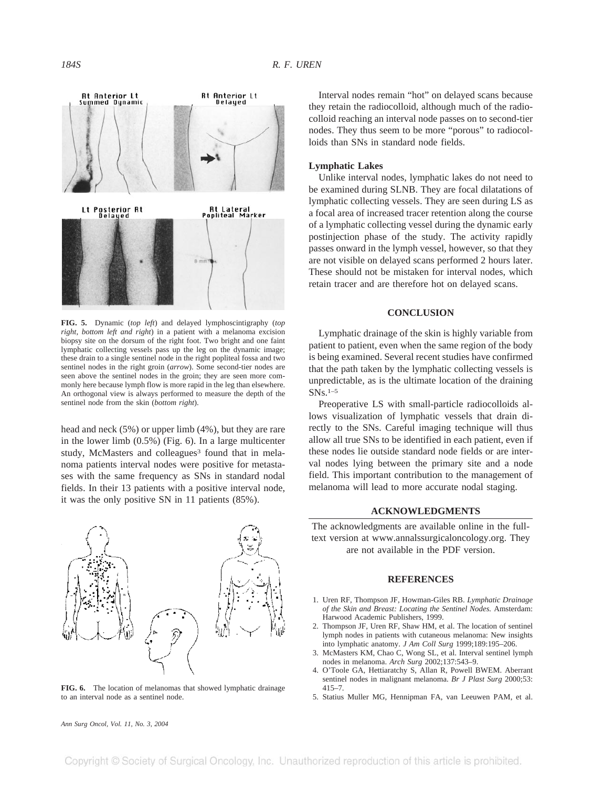

**FIG. 5.** Dynamic (*top left*) and delayed lymphoscintigraphy (*top right, bottom left and right*) in a patient with a melanoma excision biopsy site on the dorsum of the right foot. Two bright and one faint lymphatic collecting vessels pass up the leg on the dynamic image; these drain to a single sentinel node in the right popliteal fossa and two sentinel nodes in the right groin (*arrow*). Some second-tier nodes are seen above the sentinel nodes in the groin; they are seen more commonly here because lymph flow is more rapid in the leg than elsewhere. An orthogonal view is always performed to measure the depth of the sentinel node from the skin (*bottom right*).

head and neck (5%) or upper limb (4%), but they are rare in the lower limb (0.5%) (Fig. 6). In a large multicenter study, McMasters and colleagues<sup>3</sup> found that in melanoma patients interval nodes were positive for metastases with the same frequency as SNs in standard nodal fields. In their 13 patients with a positive interval node, it was the only positive SN in 11 patients (85%).



**FIG. 6.** The location of melanomas that showed lymphatic drainage to an interval node as a sentinel node.

Interval nodes remain "hot" on delayed scans because they retain the radiocolloid, although much of the radiocolloid reaching an interval node passes on to second-tier nodes. They thus seem to be more "porous" to radiocolloids than SNs in standard node fields.

#### **Lymphatic Lakes**

Unlike interval nodes, lymphatic lakes do not need to be examined during SLNB. They are focal dilatations of lymphatic collecting vessels. They are seen during LS as a focal area of increased tracer retention along the course of a lymphatic collecting vessel during the dynamic early postinjection phase of the study. The activity rapidly passes onward in the lymph vessel, however, so that they are not visible on delayed scans performed 2 hours later. These should not be mistaken for interval nodes, which retain tracer and are therefore hot on delayed scans.

#### **CONCLUSION**

Lymphatic drainage of the skin is highly variable from patient to patient, even when the same region of the body is being examined. Several recent studies have confirmed that the path taken by the lymphatic collecting vessels is unpredictable, as is the ultimate location of the draining SNs.1–5

Preoperative LS with small-particle radiocolloids allows visualization of lymphatic vessels that drain directly to the SNs. Careful imaging technique will thus allow all true SNs to be identified in each patient, even if these nodes lie outside standard node fields or are interval nodes lying between the primary site and a node field. This important contribution to the management of melanoma will lead to more accurate nodal staging.

# **ACKNOWLEDGMENTS**

The acknowledgments are available online in the fulltext version at www.annalssurgicaloncology.org. They are not available in the PDF version.

#### **REFERENCES**

- 1. Uren RF, Thompson JF, Howman-Giles RB. *Lymphatic Drainage of the Skin and Breast: Locating the Sentinel Nodes.* Amsterdam: Harwood Academic Publishers, 1999.
- 2. Thompson JF, Uren RF, Shaw HM, et al. The location of sentinel lymph nodes in patients with cutaneous melanoma: New insights into lymphatic anatomy. *J Am Coll Surg* 1999;189:195–206.
- 3. McMasters KM, Chao C, Wong SL, et al. Interval sentinel lymph nodes in melanoma. *Arch Surg* 2002;137:543–9.
- 4. O'Toole GA, Hettiaratchy S, Allan R, Powell BWEM. Aberrant sentinel nodes in malignant melanoma. *Br J Plast Surg* 2000;53: 415–7.
- 5. Statius Muller MG, Hennipman FA, van Leeuwen PAM, et al.